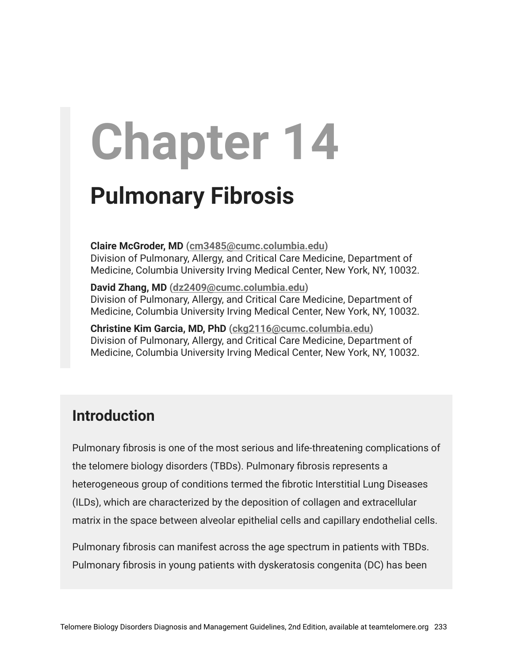# **Chapter 14**

# **Pulmonary Fibrosis**

**Claire McGroder, MD [\(cm3485@cumc.columbia.edu\)](mailto:cm3485@cumc.columbia.edu)** Division of Pulmonary, Allergy, and Critical Care Medicine, Department of Medicine, Columbia University Irving Medical Center, New York, NY, 10032.

**David Zhang, MD [\(dz2409@cumc.columbia.edu\)](mailto:dz2409@cumc.columbia.edu)** Division of Pulmonary, Allergy, and Critical Care Medicine, Department of Medicine, Columbia University Irving Medical Center, New York, NY, 10032.

**Christine Kim Garcia, MD, PhD ([ckg2116@cumc.columbia.edu\)](mailto:ckg2116@cumc.columbia.edu)** Division of Pulmonary, Allergy, and Critical Care Medicine, Department of Medicine, Columbia University Irving Medical Center, New York, NY, 10032.

# **Introduction**

Pulmonary fibrosis is one of the most serious and life-threatening complications of the telomere biology disorders (TBDs). Pulmonary fibrosis represents a heterogeneous group of conditions termed the fibrotic Interstitial Lung Diseases (ILDs), which are characterized by the deposition of collagen and extracellular matrix in the space between alveolar epithelial cells and capillary endothelial cells.

Pulmonary fibrosis can manifest across the age spectrum in patients with TBDs. Pulmonary fibrosis in young patients with dyskeratosis congenita (DC) has been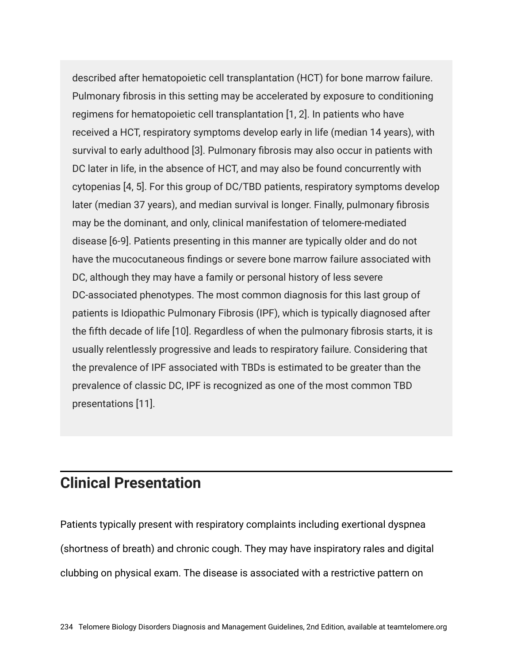described after hematopoietic cell transplantation (HCT) for bone marrow failure. Pulmonary fibrosis in this setting may be accelerated by exposure to conditioning regimens for hematopoietic cell transplantation [1, 2]. In patients who have received a HCT, respiratory symptoms develop early in life (median 14 years), with survival to early adulthood [3]. Pulmonary fibrosis may also occur in patients with DC later in life, in the absence of HCT, and may also be found concurrently with cytopenias [4, 5]. For this group of DC/TBD patients, respiratory symptoms develop later (median 37 years), and median survival is longer. Finally, pulmonary fibrosis may be the dominant, and only, clinical manifestation of telomere-mediated disease [6-9]. Patients presenting in this manner are typically older and do not have the mucocutaneous findings or severe bone marrow failure associated with DC, although they may have a family or personal history of less severe DC-associated phenotypes. The most common diagnosis for this last group of patients is Idiopathic Pulmonary Fibrosis (IPF), which is typically diagnosed after the fifth decade of life [10]. Regardless of when the pulmonary fibrosis starts, it is usually relentlessly progressive and leads to respiratory failure. Considering that the prevalence of IPF associated with TBDs is estimated to be greater than the prevalence of classic DC, IPF is recognized as one of the most common TBD presentations [11].

# **Clinical Presentation**

Patients typically present with respiratory complaints including exertional dyspnea (shortness of breath) and chronic cough. They may have inspiratory rales and digital clubbing on physical exam. The disease is associated with a restrictive pattern on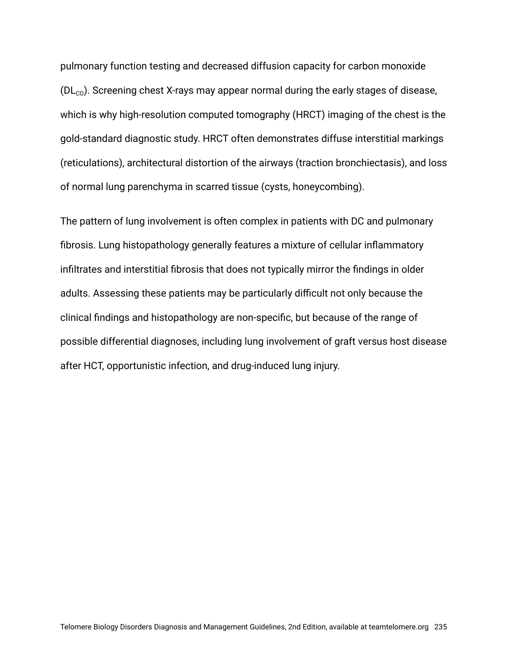pulmonary function testing and decreased diffusion capacity for carbon monoxide  $(DL<sub>co</sub>)$ . Screening chest X-rays may appear normal during the early stages of disease, which is why high-resolution computed tomography (HRCT) imaging of the chest is the gold-standard diagnostic study. HRCT often demonstrates diffuse interstitial markings (reticulations), architectural distortion of the airways (traction bronchiectasis), and loss of normal lung parenchyma in scarred tissue (cysts, honeycombing).

The pattern of lung involvement is often complex in patients with DC and pulmonary fibrosis. Lung histopathology generally features a mixture of cellular inflammatory infiltrates and interstitial fibrosis that does not typically mirror the findings in older adults. Assessing these patients may be particularly difficult not only because the clinical findings and histopathology are non-specific, but because of the range of possible differential diagnoses, including lung involvement of graft versus host disease after HCT, opportunistic infection, and drug-induced lung injury.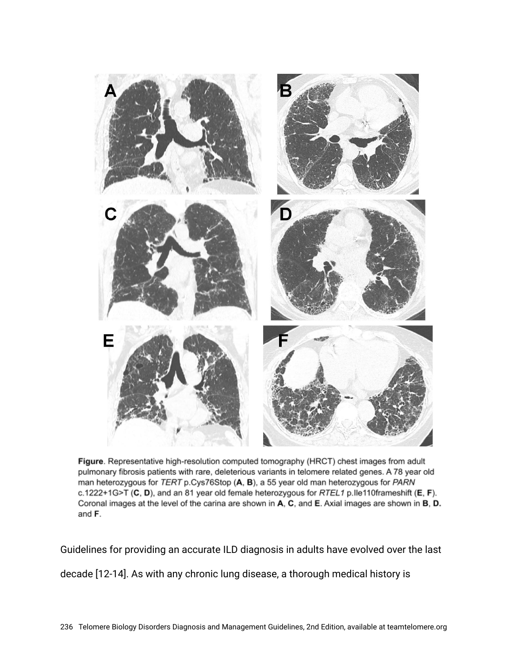

Figure. Representative high-resolution computed tomography (HRCT) chest images from adult pulmonary fibrosis patients with rare, deleterious variants in telomere related genes. A 78 year old man heterozygous for TERT p.Cys76Stop (A, B), a 55 year old man heterozygous for PARN c.1222+1G>T (C, D), and an 81 year old female heterozygous for RTEL1 p.lle110frameshift (E, F). Coronal images at the level of the carina are shown in A, C, and E. Axial images are shown in B, D. and F.

Guidelines for providing an accurate ILD diagnosis in adults have evolved over the last decade [12-14]. As with any chronic lung disease, a thorough medical history is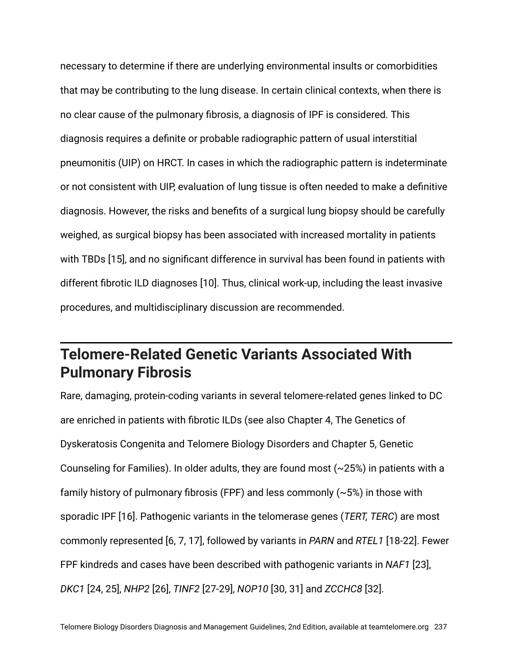necessary to determine if there are underlying environmental insults or comorbidities that may be contributing to the lung disease. In certain clinical contexts, when there is no clear cause of the pulmonary fibrosis, a diagnosis of IPF is considered. This diagnosis requires a definite or probable radiographic pattern of usual interstitial pneumonitis (UIP) on HRCT. In cases in which the radiographic pattern is indeterminate or not consistent with UIP, evaluation of lung tissue is often needed to make a definitive diagnosis. However, the risks and benefits of a surgical lung biopsy should be carefully weighed, as surgical biopsy has been associated with increased mortality in patients with TBDs [15], and no significant difference in survival has been found in patients with different fibrotic ILD diagnoses [10]. Thus, clinical work-up, including the least invasive procedures, and multidisciplinary discussion are recommended.

# **Telomere-Related Genetic Variants Associated With Pulmonary Fibrosis**

Rare, damaging, protein-coding variants in several telomere-related genes linked to DC are enriched in patients with fibrotic ILDs (see also Chapter 4, The Genetics of Dyskeratosis Congenita and Telomere Biology Disorders and Chapter 5, Genetic Counseling for Families). In older adults, they are found most  $(\sim 25%)$  in patients with a family history of pulmonary fibrosis (FPF) and less commonly  $(\sim 5\%)$  in those with sporadic IPF [16]. Pathogenic variants in the telomerase genes (*TERT, TERC*) are most commonly represented [6, 7, 17], followed by variants in *PARN* and *RTEL1* [18-22]. Fewer FPF kindreds and cases have been described with pathogenic variants in *NAF1* [23], *DKC1* [24, 25], *NHP2* [26], *TINF2* [27-29], *NOP10* [30, 31] and *ZCCHC8* [32].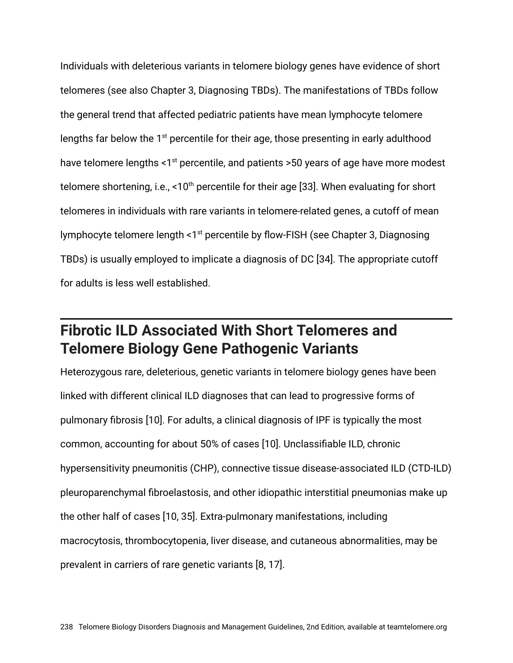Individuals with deleterious variants in telomere biology genes have evidence of short telomeres (see also Chapter 3, Diagnosing TBDs). The manifestations of TBDs follow the general trend that affected pediatric patients have mean lymphocyte telomere lengths far below the  $1<sup>st</sup>$  percentile for their age, those presenting in early adulthood have telomere lengths  $\leq 1$ <sup>st</sup> percentile, and patients  $\geq 50$  years of age have more modest telomere shortening, i.e., <10<sup>th</sup> percentile for their age [33]. When evaluating for short telomeres in individuals with rare variants in telomere-related genes, a cutoff of mean lymphocyte telomere length <1<sup>st</sup> percentile by flow-FISH (see Chapter 3, Diagnosing TBDs) is usually employed to implicate a diagnosis of DC [34]. The appropriate cutoff for adults is less well established.

# **Fibrotic ILD Associated With Short Telomeres and Telomere Biology Gene Pathogenic Variants**

Heterozygous rare, deleterious, genetic variants in telomere biology genes have been linked with different clinical ILD diagnoses that can lead to progressive forms of pulmonary fibrosis [10]. For adults, a clinical diagnosis of IPF is typically the most common, accounting for about 50% of cases [10]. Unclassifiable ILD, chronic hypersensitivity pneumonitis (CHP), connective tissue disease-associated ILD (CTD-ILD) pleuroparenchymal fibroelastosis, and other idiopathic interstitial pneumonias make up the other half of cases [10, 35]. Extra-pulmonary manifestations, including macrocytosis, thrombocytopenia, liver disease, and cutaneous abnormalities, may be prevalent in carriers of rare genetic variants [8, 17].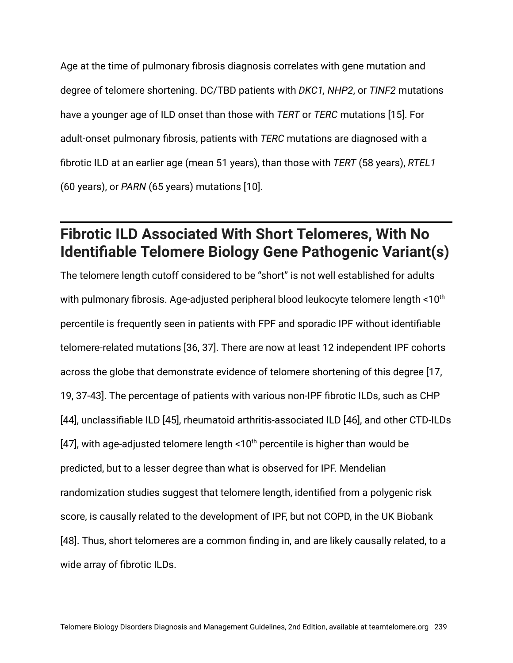Age at the time of pulmonary fibrosis diagnosis correlates with gene mutation and degree of telomere shortening. DC/TBD patients with *DKC1, NHP2*, or *TINF2* mutations have a younger age of ILD onset than those with *TERT* or *TERC* mutations [15]. For adult-onset pulmonary fibrosis, patients with *TERC* mutations are diagnosed with a fibrotic ILD at an earlier age (mean 51 years), than those with *TERT* (58 years), *RTEL1* (60 years), or *PARN* (65 years) mutations [10].

# **Fibrotic ILD Associated With Short Telomeres, With No Identifiable Telomere Biology Gene Pathogenic Variant(s)**

The telomere length cutoff considered to be "short" is not well established for adults with pulmonary fibrosis. Age-adjusted peripheral blood leukocyte telomere length <10<sup>th</sup> percentile is frequently seen in patients with FPF and sporadic IPF without identifiable telomere-related mutations [36, 37]. There are now at least 12 independent IPF cohorts across the globe that demonstrate evidence of telomere shortening of this degree [17, 19, 37-43]. The percentage of patients with various non-IPF fibrotic ILDs, such as CHP [44], unclassifiable ILD [45], rheumatoid arthritis-associated ILD [46], and other CTD-ILDs [47], with age-adjusted telomere length <10<sup>th</sup> percentile is higher than would be predicted, but to a lesser degree than what is observed for IPF. Mendelian randomization studies suggest that telomere length, identified from a polygenic risk score, is causally related to the development of IPF, but not COPD, in the UK Biobank [48]. Thus, short telomeres are a common finding in, and are likely causally related, to a wide array of fibrotic ILDs.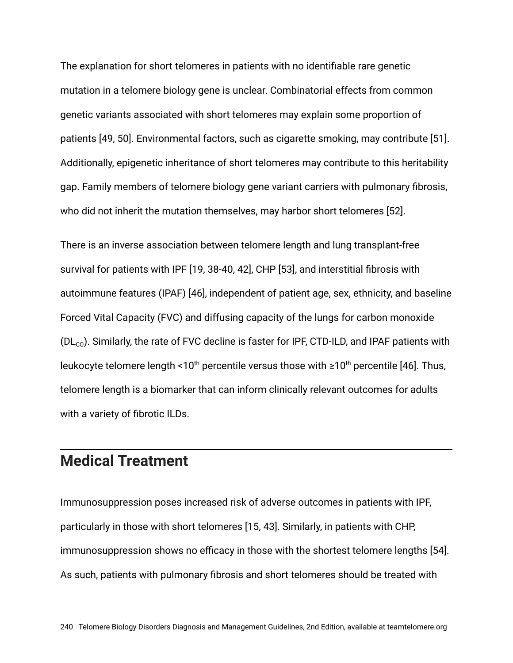The explanation for short telomeres in patients with no identifiable rare genetic mutation in a telomere biology gene is unclear. Combinatorial effects from common genetic variants associated with short telomeres may explain some proportion of patients [49, 50]. Environmental factors, such as cigarette smoking, may contribute [51]. Additionally, epigenetic inheritance of short telomeres may contribute to this heritability gap. Family members of telomere biology gene variant carriers with pulmonary fibrosis, who did not inherit the mutation themselves, may harbor short telomeres [52].

There is an inverse association between telomere length and lung transplant-free survival for patients with IPF [19, 38-40, 42], CHP [53], and interstitial fibrosis with autoimmune features (IPAF) [46], independent of patient age, sex, ethnicity, and baseline Forced Vital Capacity (FVC) and diffusing capacity of the lungs for carbon monoxide  $(DL<sub>co</sub>)$ . Similarly, the rate of FVC decline is faster for IPF, CTD-ILD, and IPAF patients with leukocyte telomere length <10<sup>th</sup> percentile versus those with  $\geq 10^{th}$  percentile [46]. Thus, telomere length is a biomarker that can inform clinically relevant outcomes for adults with a variety of fibrotic ILDs.

#### **Medical Treatment**

Immunosuppression poses increased risk of adverse outcomes in patients with IPF, particularly in those with short telomeres [15, 43]. Similarly, in patients with CHP, immunosuppression shows no efficacy in those with the shortest telomere lengths [54]. As such, patients with pulmonary fibrosis and short telomeres should be treated with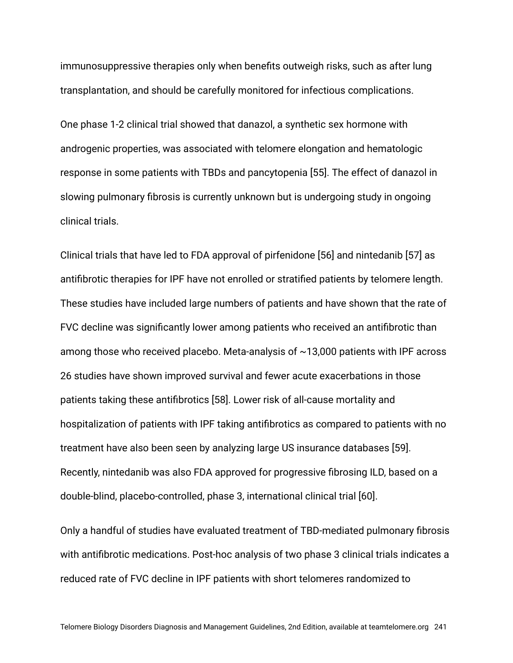immunosuppressive therapies only when benefits outweigh risks, such as after lung transplantation, and should be carefully monitored for infectious complications.

One phase 1-2 clinical trial showed that danazol, a synthetic sex hormone with androgenic properties, was associated with telomere elongation and hematologic response in some patients with TBDs and pancytopenia [55]. The effect of danazol in slowing pulmonary fibrosis is currently unknown but is undergoing study in ongoing clinical trials.

Clinical trials that have led to FDA approval of pirfenidone [56] and nintedanib [57] as antifibrotic therapies for IPF have not enrolled or stratified patients by telomere length. These studies have included large numbers of patients and have shown that the rate of FVC decline was significantly lower among patients who received an antifibrotic than among those who received placebo. Meta-analysis of  $\sim$ 13,000 patients with IPF across 26 studies have shown improved survival and fewer acute exacerbations in those patients taking these antifibrotics [58]. Lower risk of all-cause mortality and hospitalization of patients with IPF taking antifibrotics as compared to patients with no treatment have also been seen by analyzing large US insurance databases [59]. Recently, nintedanib was also FDA approved for progressive fibrosing ILD, based on a double-blind, placebo-controlled, phase 3, international clinical trial [60].

Only a handful of studies have evaluated treatment of TBD-mediated pulmonary fibrosis with antifibrotic medications. Post-hoc analysis of two phase 3 clinical trials indicates a reduced rate of FVC decline in IPF patients with short telomeres randomized to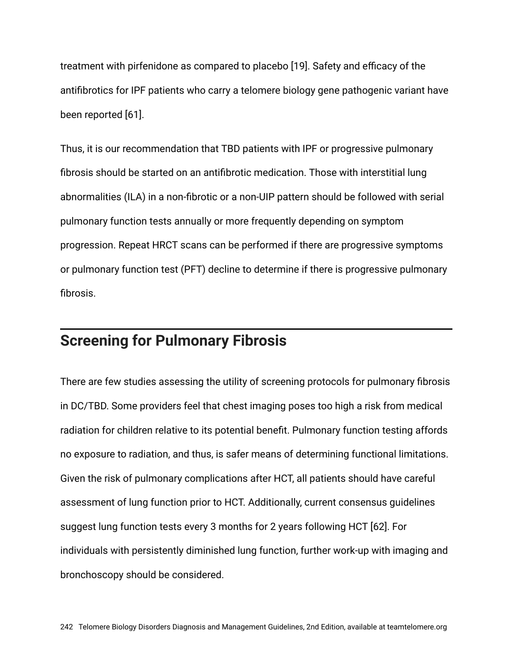treatment with pirfenidone as compared to placebo [19]. Safety and efficacy of the antifibrotics for IPF patients who carry a telomere biology gene pathogenic variant have been reported [61].

Thus, it is our recommendation that TBD patients with IPF or progressive pulmonary fibrosis should be started on an antifibrotic medication. Those with interstitial lung abnormalities (ILA) in a non-fibrotic or a non-UIP pattern should be followed with serial pulmonary function tests annually or more frequently depending on symptom progression. Repeat HRCT scans can be performed if there are progressive symptoms or pulmonary function test (PFT) decline to determine if there is progressive pulmonary fibrosis.

#### **Screening for Pulmonary Fibrosis**

There are few studies assessing the utility of screening protocols for pulmonary fibrosis in DC/TBD. Some providers feel that chest imaging poses too high a risk from medical radiation for children relative to its potential benefit. Pulmonary function testing affords no exposure to radiation, and thus, is safer means of determining functional limitations. Given the risk of pulmonary complications after HCT, all patients should have careful assessment of lung function prior to HCT. Additionally, current consensus guidelines suggest lung function tests every 3 months for 2 years following HCT [62]. For individuals with persistently diminished lung function, further work-up with imaging and bronchoscopy should be considered.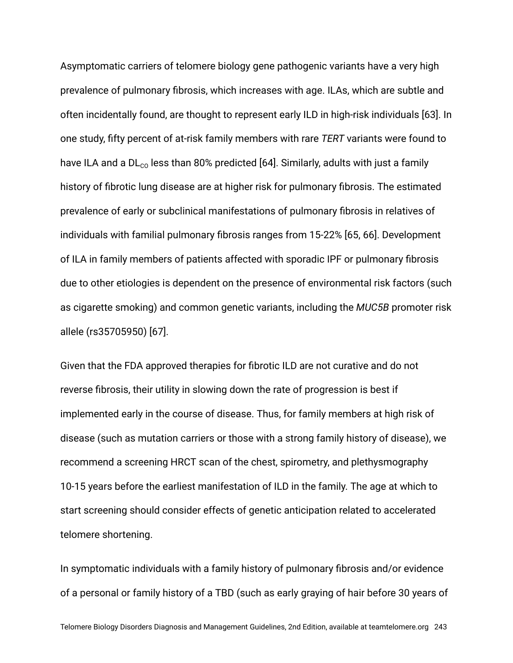Asymptomatic carriers of telomere biology gene pathogenic variants have a very high prevalence of pulmonary fibrosis, which increases with age. ILAs, which are subtle and often incidentally found, are thought to represent early ILD in high-risk individuals [63]. In one study, fifty percent of at-risk family members with rare *TERT* variants were found to have ILA and a  $DL_{co}$  less than 80% predicted [64]. Similarly, adults with just a family history of fibrotic lung disease are at higher risk for pulmonary fibrosis. The estimated prevalence of early or subclinical manifestations of pulmonary fibrosis in relatives of individuals with familial pulmonary fibrosis ranges from 15-22% [65, 66]. Development of ILA in family members of patients affected with sporadic IPF or pulmonary fibrosis due to other etiologies is dependent on the presence of environmental risk factors (such as cigarette smoking) and common genetic variants, including the *MUC5B* promoter risk allele (rs35705950) [67].

Given that the FDA approved therapies for fibrotic ILD are not curative and do not reverse fibrosis, their utility in slowing down the rate of progression is best if implemented early in the course of disease. Thus, for family members at high risk of disease (such as mutation carriers or those with a strong family history of disease), we recommend a screening HRCT scan of the chest, spirometry, and plethysmography 10-15 years before the earliest manifestation of ILD in the family. The age at which to start screening should consider effects of genetic anticipation related to accelerated telomere shortening.

In symptomatic individuals with a family history of pulmonary fibrosis and/or evidence of a personal or family history of a TBD (such as early graying of hair before 30 years of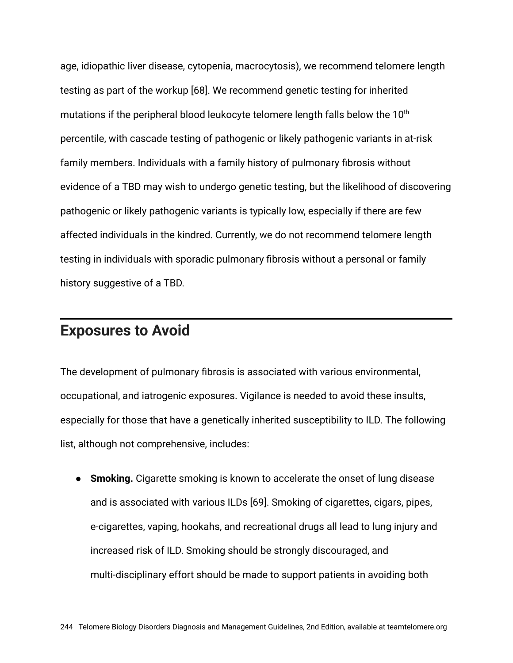age, idiopathic liver disease, cytopenia, macrocytosis), we recommend telomere length testing as part of the workup [68]. We recommend genetic testing for inherited mutations if the peripheral blood leukocyte telomere length falls below the  $10<sup>th</sup>$ percentile, with cascade testing of pathogenic or likely pathogenic variants in at-risk family members. Individuals with a family history of pulmonary fibrosis without evidence of a TBD may wish to undergo genetic testing, but the likelihood of discovering pathogenic or likely pathogenic variants is typically low, especially if there are few affected individuals in the kindred. Currently, we do not recommend telomere length testing in individuals with sporadic pulmonary fibrosis without a personal or family history suggestive of a TBD.

#### **Exposures to Avoid**

The development of pulmonary fibrosis is associated with various environmental, occupational, and iatrogenic exposures. Vigilance is needed to avoid these insults, especially for those that have a genetically inherited susceptibility to ILD. The following list, although not comprehensive, includes:

**• Smoking.** Cigarette smoking is known to accelerate the onset of lung disease and is associated with various ILDs [69]. Smoking of cigarettes, cigars, pipes, e-cigarettes, vaping, hookahs, and recreational drugs all lead to lung injury and increased risk of ILD. Smoking should be strongly discouraged, and multi-disciplinary effort should be made to support patients in avoiding both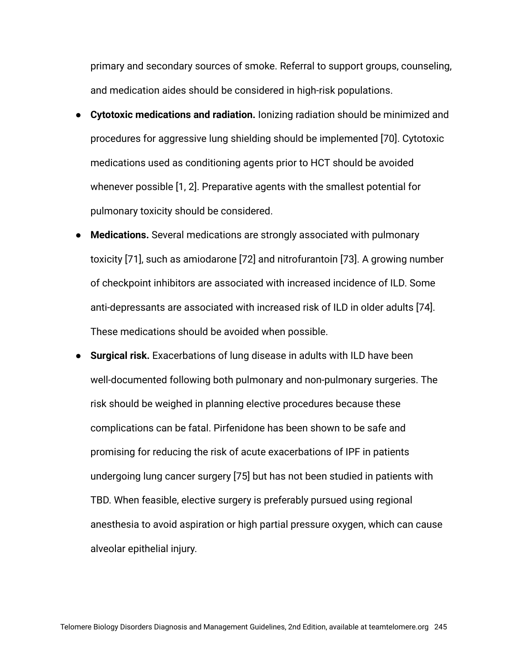primary and secondary sources of smoke. Referral to support groups, counseling, and medication aides should be considered in high-risk populations.

- **Cytotoxic medications and radiation.** Ionizing radiation should be minimized and procedures for aggressive lung shielding should be implemented [70]. Cytotoxic medications used as conditioning agents prior to HCT should be avoided whenever possible [1, 2]. Preparative agents with the smallest potential for pulmonary toxicity should be considered.
- **Medications.** Several medications are strongly associated with pulmonary toxicity [71], such as amiodarone [72] and nitrofurantoin [73]. A growing number of checkpoint inhibitors are associated with increased incidence of ILD. Some anti-depressants are associated with increased risk of ILD in older adults [74]. These medications should be avoided when possible.
- **Surgical risk.** Exacerbations of lung disease in adults with ILD have been well-documented following both pulmonary and non-pulmonary surgeries. The risk should be weighed in planning elective procedures because these complications can be fatal. Pirfenidone has been shown to be safe and promising for reducing the risk of acute exacerbations of IPF in patients undergoing lung cancer surgery [75] but has not been studied in patients with TBD. When feasible, elective surgery is preferably pursued using regional anesthesia to avoid aspiration or high partial pressure oxygen, which can cause alveolar epithelial injury.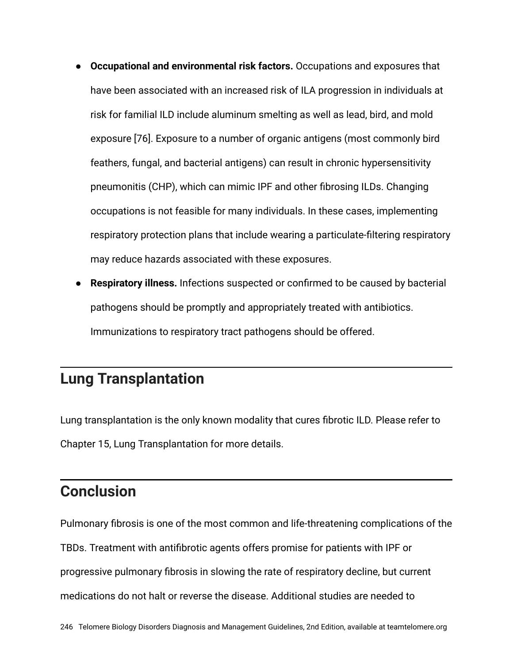- **Occupational and environmental risk factors.** Occupations and exposures that have been associated with an increased risk of ILA progression in individuals at risk for familial ILD include aluminum smelting as well as lead, bird, and mold exposure [76]. Exposure to a number of organic antigens (most commonly bird feathers, fungal, and bacterial antigens) can result in chronic hypersensitivity pneumonitis (CHP), which can mimic IPF and other fibrosing ILDs. Changing occupations is not feasible for many individuals. In these cases, implementing respiratory protection plans that include wearing a particulate-filtering respiratory may reduce hazards associated with these exposures.
- **Respiratory illness.** Infections suspected or confirmed to be caused by bacterial pathogens should be promptly and appropriately treated with antibiotics. Immunizations to respiratory tract pathogens should be offered.

# **Lung Transplantation**

Lung transplantation is the only known modality that cures fibrotic ILD. Please refer to Chapter 15, Lung Transplantation for more details.

## **Conclusion**

Pulmonary fibrosis is one of the most common and life-threatening complications of the TBDs. Treatment with antifibrotic agents offers promise for patients with IPF or progressive pulmonary fibrosis in slowing the rate of respiratory decline, but current medications do not halt or reverse the disease. Additional studies are needed to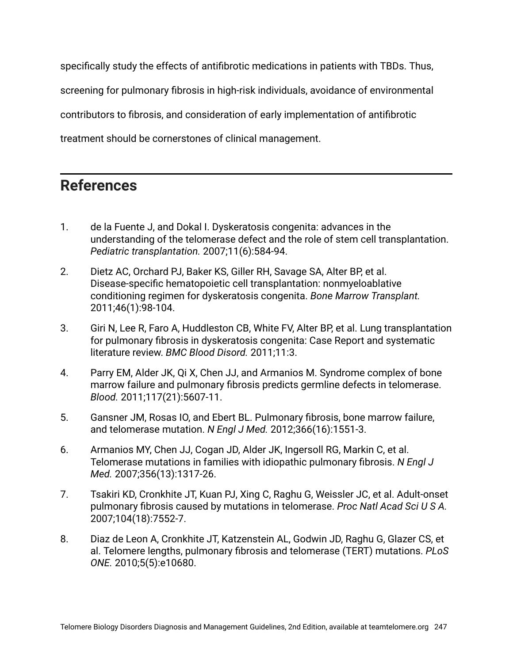specifically study the effects of antifibrotic medications in patients with TBDs. Thus, screening for pulmonary fibrosis in high-risk individuals, avoidance of environmental contributors to fibrosis, and consideration of early implementation of antifibrotic treatment should be cornerstones of clinical management.

## **References**

- 1. de la Fuente J, and Dokal I. Dyskeratosis congenita: advances in the understanding of the telomerase defect and the role of stem cell transplantation. *Pediatric transplantation.* 2007;11(6):584-94.
- 2. Dietz AC, Orchard PJ, Baker KS, Giller RH, Savage SA, Alter BP, et al. Disease-specific hematopoietic cell transplantation: nonmyeloablative conditioning regimen for dyskeratosis congenita. *Bone Marrow Transplant.* 2011;46(1):98-104.
- 3. Giri N, Lee R, Faro A, Huddleston CB, White FV, Alter BP, et al. Lung transplantation for pulmonary fibrosis in dyskeratosis congenita: Case Report and systematic literature review. *BMC Blood Disord.* 2011;11:3.
- 4. Parry EM, Alder JK, Qi X, Chen JJ, and Armanios M. Syndrome complex of bone marrow failure and pulmonary fibrosis predicts germline defects in telomerase. *Blood.* 2011;117(21):5607-11.
- 5. Gansner JM, Rosas IO, and Ebert BL. Pulmonary fibrosis, bone marrow failure, and telomerase mutation. *N Engl J Med.* 2012;366(16):1551-3.
- 6. Armanios MY, Chen JJ, Cogan JD, Alder JK, Ingersoll RG, Markin C, et al. Telomerase mutations in families with idiopathic pulmonary fibrosis. *N Engl J Med.* 2007;356(13):1317-26.
- 7. Tsakiri KD, Cronkhite JT, Kuan PJ, Xing C, Raghu G, Weissler JC, et al. Adult-onset pulmonary fibrosis caused by mutations in telomerase. *Proc Natl Acad Sci U S A.* 2007;104(18):7552-7.
- 8. Diaz de Leon A, Cronkhite JT, Katzenstein AL, Godwin JD, Raghu G, Glazer CS, et al. Telomere lengths, pulmonary fibrosis and telomerase (TERT) mutations. *PLoS ONE.* 2010;5(5):e10680.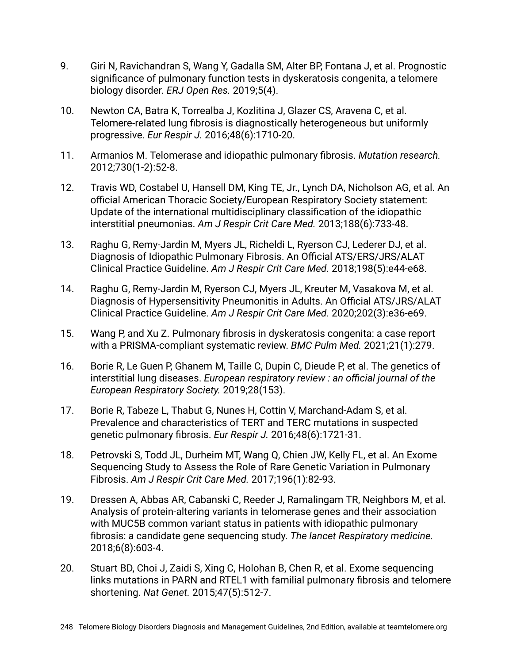- 9. Giri N, Ravichandran S, Wang Y, Gadalla SM, Alter BP, Fontana J, et al. Prognostic significance of pulmonary function tests in dyskeratosis congenita, a telomere biology disorder. *ERJ Open Res.* 2019;5(4).
- 10. Newton CA, Batra K, Torrealba J, Kozlitina J, Glazer CS, Aravena C, et al. Telomere-related lung fibrosis is diagnostically heterogeneous but uniformly progressive. *Eur Respir J.* 2016;48(6):1710-20.
- 11. Armanios M. Telomerase and idiopathic pulmonary fibrosis. *Mutation research.* 2012;730(1-2):52-8.
- 12. Travis WD, Costabel U, Hansell DM, King TE, Jr., Lynch DA, Nicholson AG, et al. An official American Thoracic Society/European Respiratory Society statement: Update of the international multidisciplinary classification of the idiopathic interstitial pneumonias. *Am J Respir Crit Care Med.* 2013;188(6):733-48.
- 13. Raghu G, Remy-Jardin M, Myers JL, Richeldi L, Ryerson CJ, Lederer DJ, et al. Diagnosis of Idiopathic Pulmonary Fibrosis. An Official ATS/ERS/JRS/ALAT Clinical Practice Guideline. *Am J Respir Crit Care Med.* 2018;198(5):e44-e68.
- 14. Raghu G, Remy-Jardin M, Ryerson CJ, Myers JL, Kreuter M, Vasakova M, et al. Diagnosis of Hypersensitivity Pneumonitis in Adults. An Official ATS/JRS/ALAT Clinical Practice Guideline. *Am J Respir Crit Care Med.* 2020;202(3):e36-e69.
- 15. Wang P, and Xu Z. Pulmonary fibrosis in dyskeratosis congenita: a case report with a PRISMA-compliant systematic review. *BMC Pulm Med.* 2021;21(1):279.
- 16. Borie R, Le Guen P, Ghanem M, Taille C, Dupin C, Dieude P, et al. The genetics of interstitial lung diseases. *European respiratory review : an official journal of the European Respiratory Society.* 2019;28(153).
- 17. Borie R, Tabeze L, Thabut G, Nunes H, Cottin V, Marchand-Adam S, et al. Prevalence and characteristics of TERT and TERC mutations in suspected genetic pulmonary fibrosis. *Eur Respir J.* 2016;48(6):1721-31.
- 18. Petrovski S, Todd JL, Durheim MT, Wang Q, Chien JW, Kelly FL, et al. An Exome Sequencing Study to Assess the Role of Rare Genetic Variation in Pulmonary Fibrosis. *Am J Respir Crit Care Med.* 2017;196(1):82-93.
- 19. Dressen A, Abbas AR, Cabanski C, Reeder J, Ramalingam TR, Neighbors M, et al. Analysis of protein-altering variants in telomerase genes and their association with MUC5B common variant status in patients with idiopathic pulmonary fibrosis: a candidate gene sequencing study. *The lancet Respiratory medicine.* 2018;6(8):603-4.
- 20. Stuart BD, Choi J, Zaidi S, Xing C, Holohan B, Chen R, et al. Exome sequencing links mutations in PARN and RTEL1 with familial pulmonary fibrosis and telomere shortening. *Nat Genet.* 2015;47(5):512-7.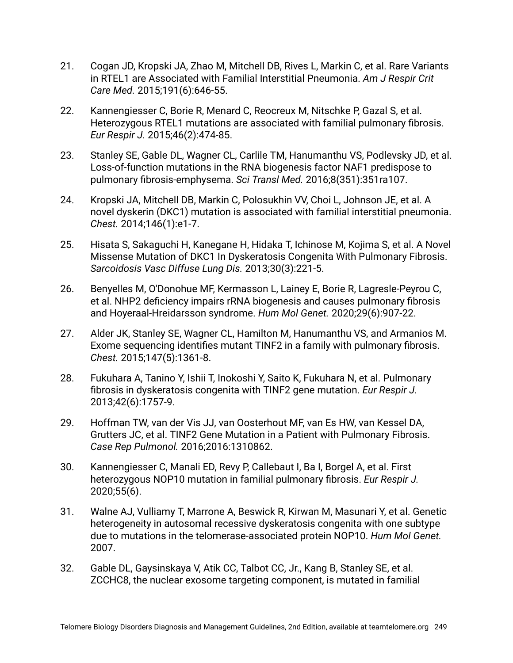- 21. Cogan JD, Kropski JA, Zhao M, Mitchell DB, Rives L, Markin C, et al. Rare Variants in RTEL1 are Associated with Familial Interstitial Pneumonia. *Am J Respir Crit Care Med.* 2015;191(6):646-55.
- 22. Kannengiesser C, Borie R, Menard C, Reocreux M, Nitschke P, Gazal S, et al. Heterozygous RTEL1 mutations are associated with familial pulmonary fibrosis. *Eur Respir J.* 2015;46(2):474-85.
- 23. Stanley SE, Gable DL, Wagner CL, Carlile TM, Hanumanthu VS, Podlevsky JD, et al. Loss-of-function mutations in the RNA biogenesis factor NAF1 predispose to pulmonary fibrosis-emphysema. *Sci Transl Med.* 2016;8(351):351ra107.
- 24. Kropski JA, Mitchell DB, Markin C, Polosukhin VV, Choi L, Johnson JE, et al. A novel dyskerin (DKC1) mutation is associated with familial interstitial pneumonia. *Chest.* 2014;146(1):e1-7.
- 25. Hisata S, Sakaguchi H, Kanegane H, Hidaka T, Ichinose M, Kojima S, et al. A Novel Missense Mutation of DKC1 In Dyskeratosis Congenita With Pulmonary Fibrosis. *Sarcoidosis Vasc Diffuse Lung Dis.* 2013;30(3):221-5.
- 26. Benyelles M, O'Donohue MF, Kermasson L, Lainey E, Borie R, Lagresle-Peyrou C, et al. NHP2 deficiency impairs rRNA biogenesis and causes pulmonary fibrosis and Hoyeraal-Hreidarsson syndrome. *Hum Mol Genet.* 2020;29(6):907-22.
- 27. Alder JK, Stanley SE, Wagner CL, Hamilton M, Hanumanthu VS, and Armanios M. Exome sequencing identifies mutant TINF2 in a family with pulmonary fibrosis. *Chest.* 2015;147(5):1361-8.
- 28. Fukuhara A, Tanino Y, Ishii T, Inokoshi Y, Saito K, Fukuhara N, et al. Pulmonary fibrosis in dyskeratosis congenita with TINF2 gene mutation. *Eur Respir J.* 2013;42(6):1757-9.
- 29. Hoffman TW, van der Vis JJ, van Oosterhout MF, van Es HW, van Kessel DA, Grutters JC, et al. TINF2 Gene Mutation in a Patient with Pulmonary Fibrosis. *Case Rep Pulmonol.* 2016;2016:1310862.
- 30. Kannengiesser C, Manali ED, Revy P, Callebaut I, Ba I, Borgel A, et al. First heterozygous NOP10 mutation in familial pulmonary fibrosis. *Eur Respir J.* 2020;55(6).
- 31. Walne AJ, Vulliamy T, Marrone A, Beswick R, Kirwan M, Masunari Y, et al. Genetic heterogeneity in autosomal recessive dyskeratosis congenita with one subtype due to mutations in the telomerase-associated protein NOP10. *Hum Mol Genet.* 2007.
- 32. Gable DL, Gaysinskaya V, Atik CC, Talbot CC, Jr., Kang B, Stanley SE, et al. ZCCHC8, the nuclear exosome targeting component, is mutated in familial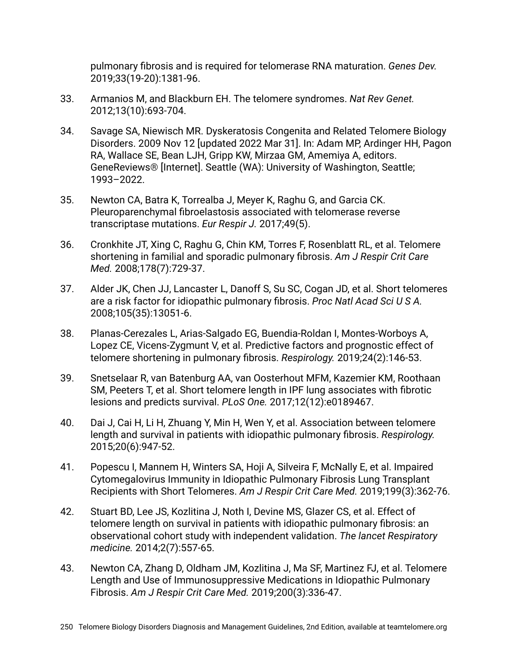pulmonary fibrosis and is required for telomerase RNA maturation. *Genes Dev.* 2019;33(19-20):1381-96.

- 33. Armanios M, and Blackburn EH. The telomere syndromes. *Nat Rev Genet.* 2012;13(10):693-704.
- 34. Savage SA, Niewisch MR. Dyskeratosis Congenita and Related Telomere Biology Disorders. 2009 Nov 12 [updated 2022 Mar 31]. In: Adam MP, Ardinger HH, Pagon RA, Wallace SE, Bean LJH, Gripp KW, Mirzaa GM, Amemiya A, editors. GeneReviews® [Internet]. Seattle (WA): University of Washington, Seattle; 1993–2022.
- 35. Newton CA, Batra K, Torrealba J, Meyer K, Raghu G, and Garcia CK. Pleuroparenchymal fibroelastosis associated with telomerase reverse transcriptase mutations. *Eur Respir J.* 2017;49(5).
- 36. Cronkhite JT, Xing C, Raghu G, Chin KM, Torres F, Rosenblatt RL, et al. Telomere shortening in familial and sporadic pulmonary fibrosis. *Am J Respir Crit Care Med.* 2008;178(7):729-37.
- 37. Alder JK, Chen JJ, Lancaster L, Danoff S, Su SC, Cogan JD, et al. Short telomeres are a risk factor for idiopathic pulmonary fibrosis. *Proc Natl Acad Sci U S A.* 2008;105(35):13051-6.
- 38. Planas-Cerezales L, Arias-Salgado EG, Buendia-Roldan I, Montes-Worboys A, Lopez CE, Vicens-Zygmunt V, et al. Predictive factors and prognostic effect of telomere shortening in pulmonary fibrosis. *Respirology.* 2019;24(2):146-53.
- 39. Snetselaar R, van Batenburg AA, van Oosterhout MFM, Kazemier KM, Roothaan SM, Peeters T, et al. Short telomere length in IPF lung associates with fibrotic lesions and predicts survival. *PLoS One.* 2017;12(12):e0189467.
- 40. Dai J, Cai H, Li H, Zhuang Y, Min H, Wen Y, et al. Association between telomere length and survival in patients with idiopathic pulmonary fibrosis. *Respirology.* 2015;20(6):947-52.
- 41. Popescu I, Mannem H, Winters SA, Hoji A, Silveira F, McNally E, et al. Impaired Cytomegalovirus Immunity in Idiopathic Pulmonary Fibrosis Lung Transplant Recipients with Short Telomeres. *Am J Respir Crit Care Med.* 2019;199(3):362-76.
- 42. Stuart BD, Lee JS, Kozlitina J, Noth I, Devine MS, Glazer CS, et al. Effect of telomere length on survival in patients with idiopathic pulmonary fibrosis: an observational cohort study with independent validation. *The lancet Respiratory medicine.* 2014;2(7):557-65.
- 43. Newton CA, Zhang D, Oldham JM, Kozlitina J, Ma SF, Martinez FJ, et al. Telomere Length and Use of Immunosuppressive Medications in Idiopathic Pulmonary Fibrosis. *Am J Respir Crit Care Med.* 2019;200(3):336-47.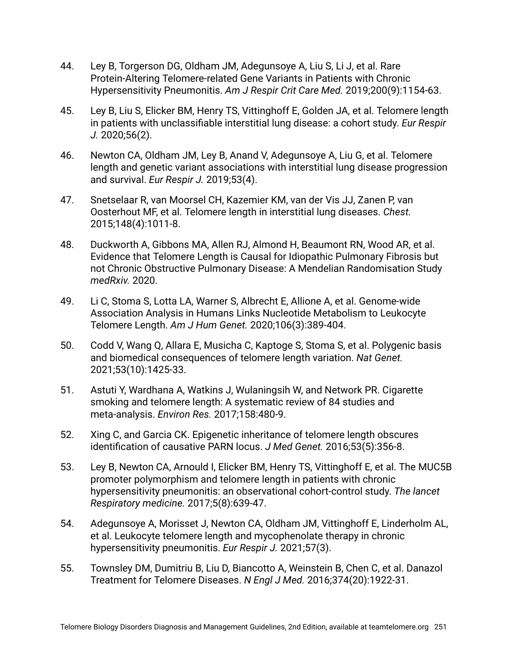- 44. Ley B, Torgerson DG, Oldham JM, Adegunsoye A, Liu S, Li J, et al. Rare Protein-Altering Telomere-related Gene Variants in Patients with Chronic Hypersensitivity Pneumonitis. *Am J Respir Crit Care Med.* 2019;200(9):1154-63.
- 45. Ley B, Liu S, Elicker BM, Henry TS, Vittinghoff E, Golden JA, et al. Telomere length in patients with unclassifiable interstitial lung disease: a cohort study. *Eur Respir J.* 2020;56(2).
- 46. Newton CA, Oldham JM, Ley B, Anand V, Adegunsoye A, Liu G, et al. Telomere length and genetic variant associations with interstitial lung disease progression and survival. *Eur Respir J.* 2019;53(4).
- 47. Snetselaar R, van Moorsel CH, Kazemier KM, van der Vis JJ, Zanen P, van Oosterhout MF, et al. Telomere length in interstitial lung diseases. *Chest.* 2015;148(4):1011-8.
- 48. Duckworth A, Gibbons MA, Allen RJ, Almond H, Beaumont RN, Wood AR, et al. Evidence that Telomere Length is Causal for Idiopathic Pulmonary Fibrosis but not Chronic Obstructive Pulmonary Disease: A Mendelian Randomisation Study *medRxiv.* 2020.
- 49. Li C, Stoma S, Lotta LA, Warner S, Albrecht E, Allione A, et al. Genome-wide Association Analysis in Humans Links Nucleotide Metabolism to Leukocyte Telomere Length. *Am J Hum Genet.* 2020;106(3):389-404.
- 50. Codd V, Wang Q, Allara E, Musicha C, Kaptoge S, Stoma S, et al. Polygenic basis and biomedical consequences of telomere length variation. *Nat Genet.* 2021;53(10):1425-33.
- 51. Astuti Y, Wardhana A, Watkins J, Wulaningsih W, and Network PR. Cigarette smoking and telomere length: A systematic review of 84 studies and meta-analysis. *Environ Res.* 2017;158:480-9.
- 52. Xing C, and Garcia CK. Epigenetic inheritance of telomere length obscures identification of causative PARN locus. *J Med Genet.* 2016;53(5):356-8.
- 53. Ley B, Newton CA, Arnould I, Elicker BM, Henry TS, Vittinghoff E, et al. The MUC5B promoter polymorphism and telomere length in patients with chronic hypersensitivity pneumonitis: an observational cohort-control study. *The lancet Respiratory medicine.* 2017;5(8):639-47.
- 54. Adegunsoye A, Morisset J, Newton CA, Oldham JM, Vittinghoff E, Linderholm AL, et al. Leukocyte telomere length and mycophenolate therapy in chronic hypersensitivity pneumonitis. *Eur Respir J.* 2021;57(3).
- 55. Townsley DM, Dumitriu B, Liu D, Biancotto A, Weinstein B, Chen C, et al. Danazol Treatment for Telomere Diseases. *N Engl J Med.* 2016;374(20):1922-31.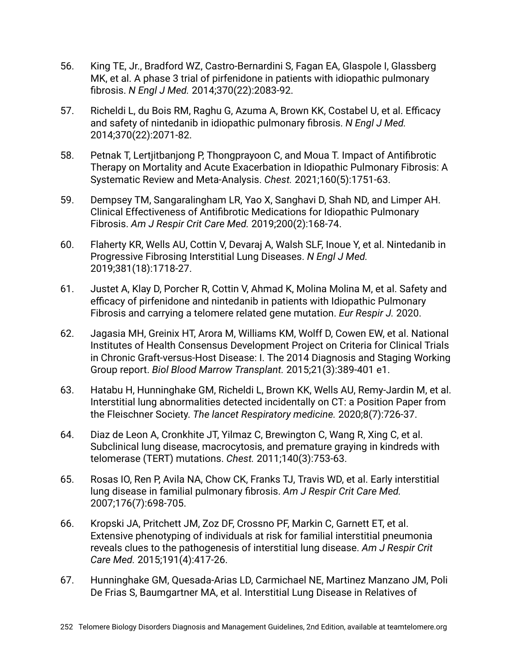- 56. King TE, Jr., Bradford WZ, Castro-Bernardini S, Fagan EA, Glaspole I, Glassberg MK, et al. A phase 3 trial of pirfenidone in patients with idiopathic pulmonary fibrosis. *N Engl J Med.* 2014;370(22):2083-92.
- 57. Richeldi L, du Bois RM, Raghu G, Azuma A, Brown KK, Costabel U, et al. Efficacy and safety of nintedanib in idiopathic pulmonary fibrosis. *N Engl J Med.* 2014;370(22):2071-82.
- 58. Petnak T, Lertjitbanjong P, Thongprayoon C, and Moua T. Impact of Antifibrotic Therapy on Mortality and Acute Exacerbation in Idiopathic Pulmonary Fibrosis: A Systematic Review and Meta-Analysis. *Chest.* 2021;160(5):1751-63.
- 59. Dempsey TM, Sangaralingham LR, Yao X, Sanghavi D, Shah ND, and Limper AH. Clinical Effectiveness of Antifibrotic Medications for Idiopathic Pulmonary Fibrosis. *Am J Respir Crit Care Med.* 2019;200(2):168-74.
- 60. Flaherty KR, Wells AU, Cottin V, Devaraj A, Walsh SLF, Inoue Y, et al. Nintedanib in Progressive Fibrosing Interstitial Lung Diseases. *N Engl J Med.* 2019;381(18):1718-27.
- 61. Justet A, Klay D, Porcher R, Cottin V, Ahmad K, Molina Molina M, et al. Safety and efficacy of pirfenidone and nintedanib in patients with Idiopathic Pulmonary Fibrosis and carrying a telomere related gene mutation. *Eur Respir J.* 2020.
- 62. Jagasia MH, Greinix HT, Arora M, Williams KM, Wolff D, Cowen EW, et al. National Institutes of Health Consensus Development Project on Criteria for Clinical Trials in Chronic Graft-versus-Host Disease: I. The 2014 Diagnosis and Staging Working Group report. *Biol Blood Marrow Transplant.* 2015;21(3):389-401 e1.
- 63. Hatabu H, Hunninghake GM, Richeldi L, Brown KK, Wells AU, Remy-Jardin M, et al. Interstitial lung abnormalities detected incidentally on CT: a Position Paper from the Fleischner Society. *The lancet Respiratory medicine.* 2020;8(7):726-37.
- 64. Diaz de Leon A, Cronkhite JT, Yilmaz C, Brewington C, Wang R, Xing C, et al. Subclinical lung disease, macrocytosis, and premature graying in kindreds with telomerase (TERT) mutations. *Chest.* 2011;140(3):753-63.
- 65. Rosas IO, Ren P, Avila NA, Chow CK, Franks TJ, Travis WD, et al. Early interstitial lung disease in familial pulmonary fibrosis. *Am J Respir Crit Care Med.* 2007;176(7):698-705.
- 66. Kropski JA, Pritchett JM, Zoz DF, Crossno PF, Markin C, Garnett ET, et al. Extensive phenotyping of individuals at risk for familial interstitial pneumonia reveals clues to the pathogenesis of interstitial lung disease. *Am J Respir Crit Care Med.* 2015;191(4):417-26.
- 67. Hunninghake GM, Quesada-Arias LD, Carmichael NE, Martinez Manzano JM, Poli De Frias S, Baumgartner MA, et al. Interstitial Lung Disease in Relatives of